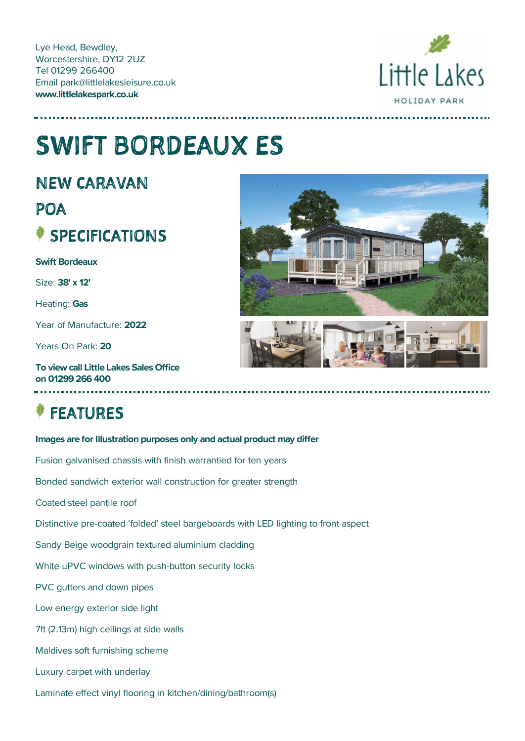Lye Head, Bewdley, Worcestershire, DY12 2UZ Tel 01299 266400 Email park@littlelakesleisure.co.uk **www.littlelakespark.co.uk**



# SWIFT BORDEAUX ES

NEW CARAVAN

## POA SPECIFICATIONS

**Swift Bordeaux**

Size: **38' x 12'**

Heating: **Gas**

Year of Manufacture: **2022**

Years On Park: **20**

**To** view call Little Lakes Sales Office **on 01299 266 400**

# FEATURES



### **Images are for Illustration purposes only and actual product may differ**

Fusion galvanised chassis with finish warrantied for ten years

Bonded sandwich exterior wall construction for greater strength

Coated steel pantile roof

Distinctive pre-coated 'folded' steel bargeboards with LED lighting to front aspect

Sandy Beige woodgrain textured aluminium cladding

White uPVC windows with push-button security locks

PVC gutters and down pipes

Low energy exterior side light

7ft (2.13m) high ceilings at side walls

Maldives soft furnishing scheme

Luxury carpet with underlay

Laminate effect vinyl flooring in kitchen/dining/bathroom(s)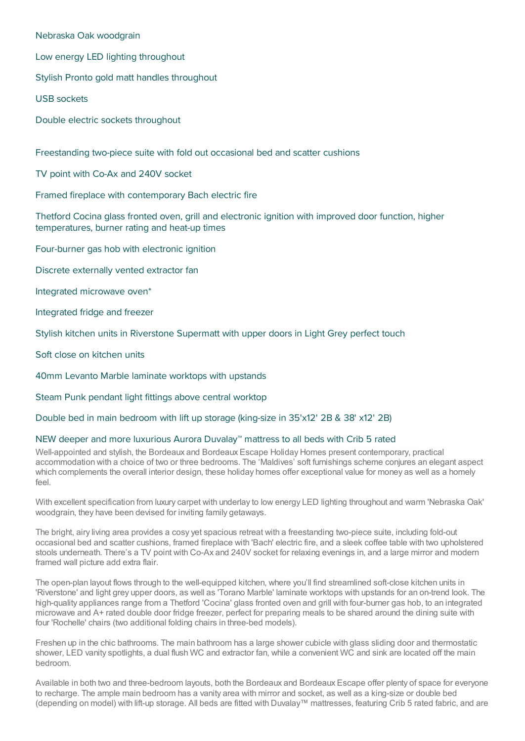Nebraska Oak woodgrain

Low energy LED lighting throughout

Stylish Pronto gold matt handles throughout

USB sockets

Double electric sockets throughout

Freestanding two-piece suite with fold out occasional bed and scatter cushions

TV point with Co-Ax and 240V socket

Framed fireplace with contemporary Bach electric fire

Thetford Cocina glass fronted oven, grill and electronic ignition with improved door function, higher temperatures, burner rating and heat-up times

Four-burner gas hob with electronic ignition

Discrete externally vented extractor fan

Integrated microwave oven\*

Integrated fridge and freezer

Stylish kitchen units in Riverstone Supermatt with upper doors in Light Grey perfect touch

Soft close on kitchen units

40mm Levanto Marble laminate worktops with upstands

Steam Punk pendant light fittings above central worktop

Double bed in main bedroom with lift up storage (king-size in 35'x12' 2B & 38' x12' 2B)

#### NEW deeper and more luxurious Aurora Duvalay™ mattress to all beds with Crib 5 rated

Well-appointed and stylish, the Bordeaux and Bordeaux Escape Holiday Homes present contemporary, practical accommodation with a choice of two or three bedrooms. The 'Maldives' soft furnishings scheme conjures an elegant aspect which complements the overall interior design, these holiday homes offer exceptional value for money as well as a homely feel.

With excellent specification from luxury carpet with underlay to low energy LED lighting throughout and warm 'Nebraska Oak' woodgrain, they have been devised for inviting family getaways.

The bright, airy living area provides a cosy yet spacious retreat with a freestanding two-piece suite, including fold-out occasional bed and scatter cushions, framed fireplace with 'Bach' electric fire, and a sleek coffee table with two upholstered stools underneath. There's a TV point with Co-Ax and 240V socket for relaxing evenings in, and a large mirror and modern framed wall picture add extra flair.

The open-plan layout flows through to the well-equipped kitchen, where you'll find streamlined soft-close kitchen units in 'Riverstone' and light grey upper doors, as well as 'Torano Marble' laminate worktops with upstands for an on-trend look. The high-quality appliances range from a Thetford 'Cocina' glass fronted oven and grill with four-burner gas hob, to an integrated microwave and A+ rated double door fridge freezer, perfect for preparing meals to be shared around the dining suite with four 'Rochelle' chairs (two additional folding chairs in three-bed models).

Freshen up in the chic bathrooms. The main bathroom has a large shower cubicle with glass sliding door and thermostatic shower, LED vanity spotlights, a dual flush WC and extractor fan, while a convenient WC and sink are located off the main bedroom.

Available in both two and three-bedroom layouts, both the Bordeaux and Bordeaux Escape offer plenty of space for everyone to recharge. The ample main bedroom has a vanity area with mirror and socket, as well as a king-size or double bed (depending on model) with lift-up storage. All beds are fitted with Duvalay™ mattresses, featuring Crib 5 rated fabric, and are